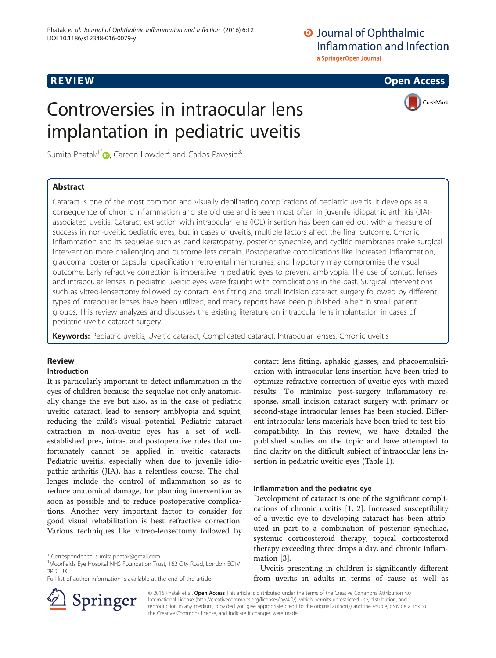# O Journal of Ophthalmic **Inflammation and Infection** a SpringerOpen Journal

# **REVIEW CONSTRUCTION CONSTRUCTION CONSTRUCTS**

# Controversies in intraocular lens implantation in pediatric uveitis



Sumita Phatak<sup>1\*</sup>  $\bullet$ [,](http://orcid.org/0000-0002-5899-0882) Careen Lowder<sup>2</sup> and Carlos Pavesio<sup>3,1</sup>

# Abstract

Cataract is one of the most common and visually debilitating complications of pediatric uveitis. It develops as a consequence of chronic inflammation and steroid use and is seen most often in juvenile idiopathic arthritis (JIA) associated uveitis. Cataract extraction with intraocular lens (IOL) insertion has been carried out with a measure of success in non-uveitic pediatric eyes, but in cases of uveitis, multiple factors affect the final outcome. Chronic inflammation and its sequelae such as band keratopathy, posterior synechiae, and cyclitic membranes make surgical intervention more challenging and outcome less certain. Postoperative complications like increased inflammation, glaucoma, posterior capsular opacification, retrolental membranes, and hypotony may compromise the visual outcome. Early refractive correction is imperative in pediatric eyes to prevent amblyopia. The use of contact lenses and intraocular lenses in pediatric uveitic eyes were fraught with complications in the past. Surgical interventions such as vitreo-lensectomy followed by contact lens fitting and small incision cataract surgery followed by different types of intraocular lenses have been utilized, and many reports have been published, albeit in small patient groups. This review analyzes and discusses the existing literature on intraocular lens implantation in cases of pediatric uveitic cataract surgery.

Keywords: Pediatric uveitis, Uveitic cataract, Complicated cataract, Intraocular lenses, Chronic uveitis

# Review

## Introduction

It is particularly important to detect inflammation in the eyes of children because the sequelae not only anatomically change the eye but also, as in the case of pediatric uveitic cataract, lead to sensory amblyopia and squint, reducing the child's visual potential. Pediatric cataract extraction in non-uveitic eyes has a set of wellestablished pre-, intra-, and postoperative rules that unfortunately cannot be applied in uveitic cataracts. Pediatric uveitis, especially when due to juvenile idiopathic arthritis (JIA), has a relentless course. The challenges include the control of inflammation so as to reduce anatomical damage, for planning intervention as soon as possible and to reduce postoperative complications. Another very important factor to consider for good visual rehabilitation is best refractive correction. Various techniques like vitreo-lensectomy followed by

contact lens fitting, aphakic glasses, and phacoemulsification with intraocular lens insertion have been tried to optimize refractive correction of uveitic eyes with mixed results. To minimize post-surgery inflammatory response, small incision cataract surgery with primary or second-stage intraocular lenses has been studied. Different intraocular lens materials have been tried to test biocompatibility. In this review, we have detailed the published studies on the topic and have attempted to find clarity on the difficult subject of intraocular lens insertion in pediatric uveitic eyes (Table [1](#page-1-0)).

# Inflammation and the pediatric eye

Development of cataract is one of the significant complications of chronic uveitis [[1](#page-6-0), [2](#page-6-0)]. Increased susceptibility of a uveitic eye to developing cataract has been attributed in part to a combination of posterior synechiae, systemic corticosteroid therapy, topical corticosteroid therapy exceeding three drops a day, and chronic inflammation [[3\]](#page-6-0).

Uveitis presenting in children is significantly different from uveitis in adults in terms of cause as well as



© 2016 Phatak et al. Open Access This article is distributed under the terms of the Creative Commons Attribution 4.0 International License ([http://creativecommons.org/licenses/by/4.0/\)](http://creativecommons.org/licenses/by/4.0/), which permits unrestricted use, distribution, and reproduction in any medium, provided you give appropriate credit to the original author(s) and the source, provide a link to the Creative Commons license, and indicate if changes were made.

<sup>\*</sup> Correspondence: [sumita.phatak@gmail.com](mailto:sumita.phatak@gmail.com) <sup>1</sup>

<sup>&</sup>lt;sup>1</sup>Moorfields Eye Hospital NHS Foundation Trust, 162 City Road, London EC1V 2PD, UK

Full list of author information is available at the end of the article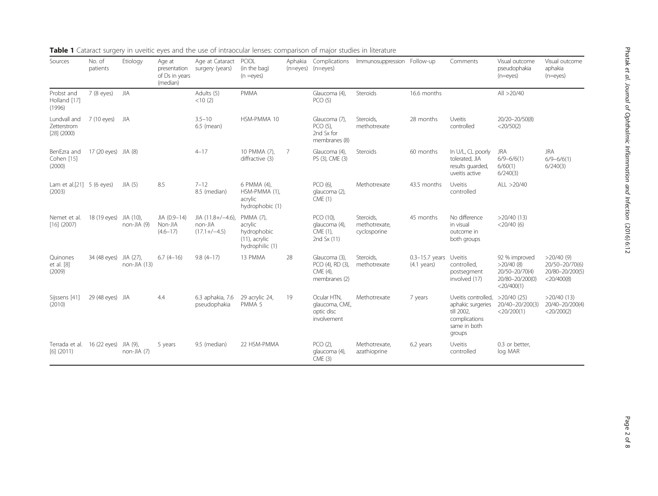| Sources                                              | No. of<br>patients     | Etiology     | Age at<br>presentation<br>of Ds in years<br>(median) | Age at Cataract<br>surgery (years)                  | PCIOL<br>(in the bag)<br>$(n = eyes)$                                   | Aphakia        | Complications<br>(n=eyes) (n=eyes)                             | Immunosuppression Follow-up                |                                             | Comments                                                                                          | Visual outcome<br>pseudophakia<br>$(n=eyes)$                                        | Visual outcome<br>aphakia<br>$(n=eyes)$                            |
|------------------------------------------------------|------------------------|--------------|------------------------------------------------------|-----------------------------------------------------|-------------------------------------------------------------------------|----------------|----------------------------------------------------------------|--------------------------------------------|---------------------------------------------|---------------------------------------------------------------------------------------------------|-------------------------------------------------------------------------------------|--------------------------------------------------------------------|
| Probst and<br>Holland [17]<br>(1996)                 | 7 (8 eyes)             | <b>JIA</b>   |                                                      | Adults (5)<br><10(2)                                | <b>PMMA</b>                                                             |                | Glaucoma (4),<br>PCO(5)                                        | Steroids                                   | 16.6 months                                 |                                                                                                   | All >20/40                                                                          |                                                                    |
| Lundvall and<br>Zetterstrom<br>$[28]$ (2000)         | 7 (10 eyes)            | JIA          |                                                      | $3.5 - 10$<br>6.5 (mean)                            | HSM-PMMA 10                                                             |                | Glaucoma (7),<br>PCO (5),<br>2nd Sx for<br>membranes (8)       | Steroids.<br>methotrexate                  | 28 months                                   | Uveitis<br>controlled                                                                             | 20/20-20/50(8)<br>$<$ 20/50(2)                                                      |                                                                    |
| BenEzra and<br>Cohen [15]<br>(2000)                  | 17 (20 eyes) JIA (8)   |              |                                                      | $4 - 17$                                            | 10 PMMA (7),<br>diffractive (3)                                         | $\overline{7}$ | Glaucoma (4),<br>PS (3), CME (3)                               | Steroids                                   | 60 months                                   | In U/L, CL poorly<br>tolerated, JIA<br>results quarded,<br>uveitis active                         | <b>JRA</b><br>$6/9 - 6/6(1)$<br>6/60(1)<br>6/240(3)                                 | <b>JRA</b><br>$6/9 - 6/6(1)$<br>6/240(3)                           |
| Lam et al. $[21]$ 5 (6 eyes)<br>(2003)               |                        | JIA(5)       | 8.5                                                  | $7 - 12$<br>8.5 (median)                            | 6 PMMA (4),<br>HSM-PMMA (1),<br>acrylic<br>hydrophobic (1)              |                | PCO (6),<br>glaucoma (2),<br>CME(1)                            | Methotrexate                               | 43.5 months                                 | Uveitis<br>controlled                                                                             | ALL >20/40                                                                          |                                                                    |
| Nemet et al.<br>$[16]$ (2007)                        | 18 (19 eyes) JIA (10), | non-JIA (9)  | $JIA (0.9-14)$<br>Non-JIA<br>$(4.6 - 17)$            | $JIA$ (11.8+/-4.6),<br>non-JIA<br>$(17.1 + (-4.5))$ | PMMA (7),<br>acrylic<br>hydrophobic<br>(11), acrylic<br>hydrophilic (1) |                | PCO (10),<br>glaucoma (4),<br>CME (1),<br>2nd Sx (11)          | Steroids,<br>methotrexate,<br>cyclosporine | 45 months                                   | No difference<br>in visual<br>outcome in<br>both groups                                           | $>20/40$ (13)<br>$<$ 20/40 $(6)$                                                    |                                                                    |
| Quinones<br>et al. [8]<br>(2009)                     | 34 (48 eyes) JIA (27), | non-JIA (13) | $6.7(4-16)$                                          | $9.8(4-17)$                                         | 13 PMMA                                                                 | 28             | Glaucoma (3),<br>PCO (4), RD (3),<br>CME (4),<br>membranes (2) | Steroids.<br>methotrexate                  | $0.3 - 15.7$ years<br>$(4.1 \text{ years})$ | Uveitis<br>controlled.<br>postsegment<br>involved (17)                                            | 92 % improved<br>$>20/40$ (8)<br>20/50-20/70(4)<br>20/80-20/200(0)<br>$<$ 20/400(1) | $>20/40$ (9)<br>20/50-20/70(6)<br>20/80-20/200(5)<br>$<$ 20/400(8) |
| Sijssens [41]<br>(2010)                              | 29 (48 eyes) JIA       |              | 4.4                                                  | 6.3 aphakia, 7.6<br>pseudophakia                    | 29 acrylic 24,<br>PMMA 5                                                | 19             | Ocular HTN,<br>glaucoma, CME,<br>optic disc<br>involvement     | Methotrexate                               | 7 years                                     | Uveitis controlled,<br>aphakic surgeries<br>till 2002,<br>complications<br>same in both<br>groups | $>20/40$ (25)<br>20/40-20/200(3)<br>$<$ 20/200(1)                                   | $>20/40$ (13)<br>20/40-20/200(4)<br>$<$ 20/200(2)                  |
| Terrada et al. 16 (22 eyes) JIA (9),<br>$[6]$ (2011) |                        | non-JIA (7)  | 5 years                                              | 9.5 (median)                                        | 22 HSM-PMMA                                                             |                | $PCO(2)$ ,<br>glaucoma (4),<br>CME(3)                          | Methotrexate,<br>azathioprine              | 6.2 years                                   | Uveitis<br>controlled                                                                             | 0.3 or better,<br>log MAR                                                           |                                                                    |

<span id="page-1-0"></span>Table 1 Cataract surgery in uveitic eyes and the use of intraocular lenses: comparison of major studies in literature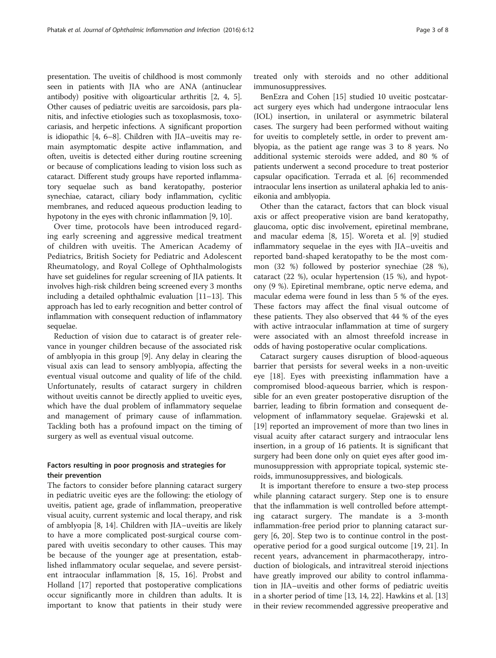presentation. The uveitis of childhood is most commonly seen in patients with JIA who are ANA (antinuclear antibody) positive with oligoarticular arthritis [\[2](#page-6-0), [4](#page-6-0), [5](#page-6-0)]. Other causes of pediatric uveitis are sarcoidosis, pars planitis, and infective etiologies such as toxoplasmosis, toxocariasis, and herpetic infections. A significant proportion is idiopathic [[4](#page-6-0), [6](#page-6-0)–[8](#page-6-0)]. Children with JIA–uveitis may remain asymptomatic despite active inflammation, and often, uveitis is detected either during routine screening or because of complications leading to vision loss such as cataract. Different study groups have reported inflammatory sequelae such as band keratopathy, posterior synechiae, cataract, ciliary body inflammation, cyclitic membranes, and reduced aqueous production leading to

hypotony in the eyes with chronic inflammation [\[9](#page-6-0), [10](#page-6-0)]. Over time, protocols have been introduced regarding early screening and aggressive medical treatment of children with uveitis. The American Academy of Pediatrics, British Society for Pediatric and Adolescent Rheumatology, and Royal College of Ophthalmologists have set guidelines for regular screening of JIA patients. It involves high-risk children being screened every 3 months including a detailed ophthalmic evaluation [[11](#page-6-0)–[13\]](#page-6-0). This approach has led to early recognition and better control of inflammation with consequent reduction of inflammatory sequelae.

Reduction of vision due to cataract is of greater relevance in younger children because of the associated risk of amblyopia in this group [\[9](#page-6-0)]. Any delay in clearing the visual axis can lead to sensory amblyopia, affecting the eventual visual outcome and quality of life of the child. Unfortunately, results of cataract surgery in children without uveitis cannot be directly applied to uveitic eyes, which have the dual problem of inflammatory sequelae and management of primary cause of inflammation. Tackling both has a profound impact on the timing of surgery as well as eventual visual outcome.

# Factors resulting in poor prognosis and strategies for their prevention

The factors to consider before planning cataract surgery in pediatric uveitic eyes are the following: the etiology of uveitis, patient age, grade of inflammation, preoperative visual acuity, current systemic and local therapy, and risk of amblyopia [\[8](#page-6-0), [14](#page-6-0)]. Children with JIA–uveitis are likely to have a more complicated post-surgical course compared with uveitis secondary to other causes. This may be because of the younger age at presentation, established inflammatory ocular sequelae, and severe persistent intraocular inflammation [[8, 15, 16\]](#page-6-0). Probst and Holland [\[17](#page-6-0)] reported that postoperative complications occur significantly more in children than adults. It is important to know that patients in their study were

treated only with steroids and no other additional immunosuppressives.

BenEzra and Cohen [[15\]](#page-6-0) studied 10 uveitic postcataract surgery eyes which had undergone intraocular lens (IOL) insertion, in unilateral or asymmetric bilateral cases. The surgery had been performed without waiting for uveitis to completely settle, in order to prevent amblyopia, as the patient age range was 3 to 8 years. No additional systemic steroids were added, and 80 % of patients underwent a second procedure to treat posterior capsular opacification. Terrada et al. [[6\]](#page-6-0) recommended intraocular lens insertion as unilateral aphakia led to aniseikonia and amblyopia.

Other than the cataract, factors that can block visual axis or affect preoperative vision are band keratopathy, glaucoma, optic disc involvement, epiretinal membrane, and macular edema [[8, 15\]](#page-6-0). Woreta et al. [[9\]](#page-6-0) studied inflammatory sequelae in the eyes with JIA–uveitis and reported band-shaped keratopathy to be the most common (32 %) followed by posterior synechiae (28 %), cataract (22 %), ocular hypertension (15 %), and hypotony (9 %). Epiretinal membrane, optic nerve edema, and macular edema were found in less than 5 % of the eyes. These factors may affect the final visual outcome of these patients. They also observed that 44 % of the eyes with active intraocular inflammation at time of surgery were associated with an almost threefold increase in odds of having postoperative ocular complications.

Cataract surgery causes disruption of blood-aqueous barrier that persists for several weeks in a non-uveitic eye [\[18](#page-6-0)]. Eyes with preexisting inflammation have a compromised blood-aqueous barrier, which is responsible for an even greater postoperative disruption of the barrier, leading to fibrin formation and consequent development of inflammatory sequelae. Grajewski et al. [[19\]](#page-6-0) reported an improvement of more than two lines in visual acuity after cataract surgery and intraocular lens insertion, in a group of 16 patients. It is significant that surgery had been done only on quiet eyes after good immunosuppression with appropriate topical, systemic steroids, immunosuppressives, and biologicals.

It is important therefore to ensure a two-step process while planning cataract surgery. Step one is to ensure that the inflammation is well controlled before attempting cataract surgery. The mandate is a 3-month inflammation-free period prior to planning cataract surgery [\[6](#page-6-0), [20\]](#page-6-0). Step two is to continue control in the postoperative period for a good surgical outcome [[19](#page-6-0), [21](#page-7-0)]. In recent years, advancement in pharmacotherapy, introduction of biologicals, and intravitreal steroid injections have greatly improved our ability to control inflammation in JIA–uveitis and other forms of pediatric uveitis in a shorter period of time [[13](#page-6-0), [14,](#page-6-0) [22](#page-7-0)]. Hawkins et al. [[13](#page-6-0)] in their review recommended aggressive preoperative and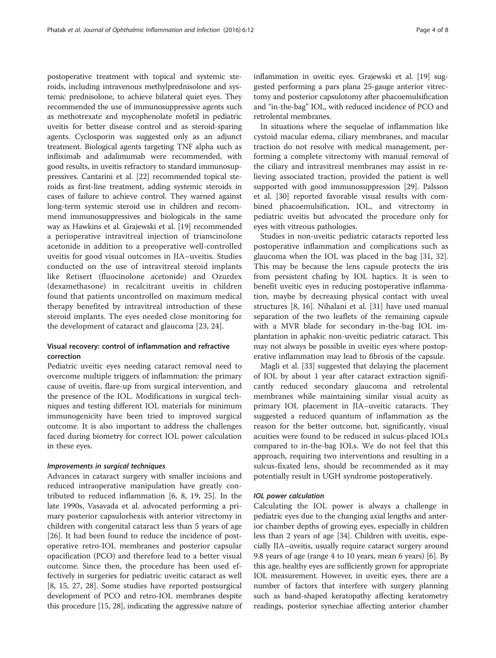postoperative treatment with topical and systemic steroids, including intravenous methylprednisolone and systemic prednisolone, to achieve bilateral quiet eyes. They recommended the use of immunosuppressive agents such as methotrexate and mycophenolate mofetil in pediatric uveitis for better disease control and as steroid-sparing agents. Cyclosporin was suggested only as an adjunct treatment. Biological agents targeting TNF alpha such as infliximab and adalimumab were recommended, with good results, in uveitis refractory to standard immunosuppressives. Cantarini et al. [[22](#page-7-0)] recommended topical steroids as first-line treatment, adding systemic steroids in cases of failure to achieve control. They warned against long-term systemic steroid use in children and recommend immunosuppressives and biologicals in the same way as Hawkins et al. Grajewski et al. [[19](#page-6-0)] recommended a perioperative intravitreal injection of triamcinolone acetonide in addition to a preoperative well-controlled uveitis for good visual outcomes in JIA–uveitis. Studies conducted on the use of intravitreal steroid implants like Retisert (fluocinolone acetonide) and Ozurdex (dexamethasone) in recalcitrant uveitis in children found that patients uncontrolled on maximum medical therapy benefited by intravitreal introduction of these steroid implants. The eyes needed close monitoring for the development of cataract and glaucoma [[23, 24\]](#page-7-0).

# Visual recovery: control of inflammation and refractive correction

Pediatric uveitic eyes needing cataract removal need to overcome multiple triggers of inflammation: the primary cause of uveitis, flare-up from surgical intervention, and the presence of the IOL. Modifications in surgical techniques and testing different IOL materials for minimum immunogenicity have been tried to improved surgical outcome. It is also important to address the challenges faced during biometry for correct IOL power calculation in these eyes.

Advances in cataract surgery with smaller incisions and reduced intraoperative manipulation have greatly contributed to reduced inflammation [[6, 8](#page-6-0), [19,](#page-6-0) [25\]](#page-7-0). In the late 1990s, Vasavada et al. advocated performing a primary posterior capsulorhexis with anterior vitrectomy in children with congenital cataract less than 5 years of age [[26\]](#page-7-0). It had been found to reduce the incidence of postoperative retro-IOL membranes and posterior capsular opacification (PCO) and therefore lead to a better visual outcome. Since then, the procedure has been used effectively in surgeries for pediatric uveitic cataract as well [[8, 15,](#page-6-0) [27, 28](#page-7-0)]. Some studies have reported postsurgical development of PCO and retro-IOL membranes despite this procedure [[15](#page-6-0), [28\]](#page-7-0), indicating the aggressive nature of inflammation in uveitic eyes. Grajewski et al. [[19\]](#page-6-0) suggested performing a pars plana 25-gauge anterior vitrectomy and posterior capsulotomy after phacoemulsification and "in-the-bag" IOL, with reduced incidence of PCO and retrolental membranes.

In situations where the sequelae of inflammation like cystoid macular edema, ciliary membranes, and macular traction do not resolve with medical management, performing a complete vitrectomy with manual removal of the ciliary and intravitreal membranes may assist in relieving associated traction, provided the patient is well supported with good immunosuppression [\[29](#page-7-0)]. Palsson et al. [[30](#page-7-0)] reported favorable visual results with combined phacoemulsification, IOL, and vitrectomy in pediatric uveitis but advocated the procedure only for eyes with vitreous pathologies.

Studies in non-uveitic pediatric cataracts reported less postoperative inflammation and complications such as glaucoma when the IOL was placed in the bag [[31, 32](#page-7-0)]. This may be because the lens capsule protects the iris from persistent chafing by IOL haptics. It is seen to benefit uveitic eyes in reducing postoperative inflammation, maybe by decreasing physical contact with uveal structures [\[8](#page-6-0), [16\]](#page-6-0). Nihalani et al. [\[31\]](#page-7-0) have used manual separation of the two leaflets of the remaining capsule with a MVR blade for secondary in-the-bag IOL implantation in aphakic non-uveitic pediatric cataract. This may not always be possible in uveitic eyes where postoperative inflammation may lead to fibrosis of the capsule.

Magli et al. [\[33](#page-7-0)] suggested that delaying the placement of IOL by about 1 year after cataract extraction significantly reduced secondary glaucoma and retrolental membranes while maintaining similar visual acuity as primary IOL placement in JIA–uveitic cataracts. They suggested a reduced quantum of inflammation as the reason for the better outcome, but, significantly, visual acuities were found to be reduced in sulcus-placed IOLs compared to in-the-bag IOLs. We do not feel that this approach, requiring two interventions and resulting in a sulcus-fixated lens, should be recommended as it may potentially result in UGH syndrome postoperatively.

Calculating the IOL power is always a challenge in pediatric eyes due to the changing axial lengths and anterior chamber depths of growing eyes, especially in children less than 2 years of age [[34](#page-7-0)]. Children with uveitis, especially JIA–uveitis, usually require cataract surgery around 9.8 years of age (range 4 to 10 years, mean 6 years) [[6](#page-6-0)]. By this age, healthy eyes are sufficiently grown for appropriate IOL measurement. However, in uveitic eyes, there are a number of factors that interfere with surgery planning such as band-shaped keratopathy affecting keratometry readings, posterior synechiae affecting anterior chamber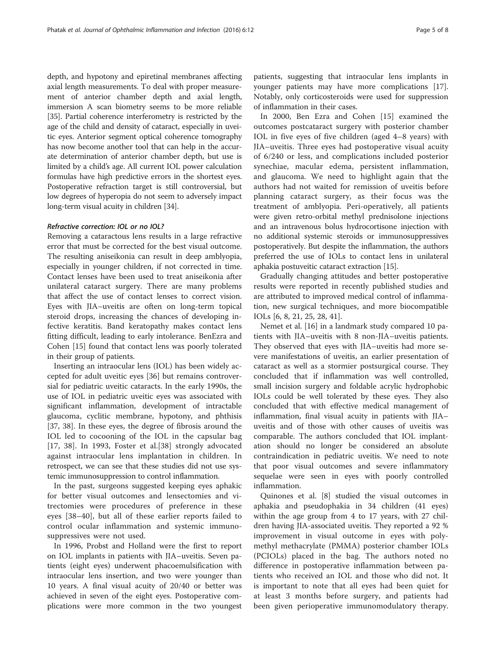depth, and hypotony and epiretinal membranes affecting axial length measurements. To deal with proper measurement of anterior chamber depth and axial length, immersion A scan biometry seems to be more reliable [[35](#page-7-0)]. Partial coherence interferometry is restricted by the age of the child and density of cataract, especially in uveitic eyes. Anterior segment optical coherence tomography has now become another tool that can help in the accurate determination of anterior chamber depth, but use is limited by a child's age. All current IOL power calculation formulas have high predictive errors in the shortest eyes. Postoperative refraction target is still controversial, but low degrees of hyperopia do not seem to adversely impact long-term visual acuity in children [[34\]](#page-7-0).

Removing a cataractous lens results in a large refractive error that must be corrected for the best visual outcome. The resulting aniseikonia can result in deep amblyopia, especially in younger children, if not corrected in time. Contact lenses have been used to treat aniseikonia after unilateral cataract surgery. There are many problems that affect the use of contact lenses to correct vision. Eyes with JIA–uveitis are often on long-term topical steroid drops, increasing the chances of developing infective keratitis. Band keratopathy makes contact lens fitting difficult, leading to early intolerance. BenEzra and Cohen [\[15](#page-6-0)] found that contact lens was poorly tolerated in their group of patients.

Inserting an intraocular lens (IOL) has been widely accepted for adult uveitic eyes [[36\]](#page-7-0) but remains controversial for pediatric uveitic cataracts. In the early 1990s, the use of IOL in pediatric uveitic eyes was associated with significant inflammation, development of intractable glaucoma, cyclitic membrane, hypotony, and phthisis [[37, 38](#page-7-0)]. In these eyes, the degree of fibrosis around the IOL led to cocooning of the IOL in the capsular bag [[17,](#page-6-0) [38\]](#page-7-0). In 1993, Foster et al.[[38\]](#page-7-0) strongly advocated against intraocular lens implantation in children. In retrospect, we can see that these studies did not use systemic immunosuppression to control inflammation.

In the past, surgeons suggested keeping eyes aphakic for better visual outcomes and lensectomies and vitrectomies were procedures of preference in these eyes [[38](#page-7-0)–[40\]](#page-7-0), but all of these earlier reports failed to control ocular inflammation and systemic immunosuppressives were not used.

In 1996, Probst and Holland were the first to report on IOL implants in patients with JIA–uveitis. Seven patients (eight eyes) underwent phacoemulsification with intraocular lens insertion, and two were younger than 10 years. A final visual acuity of 20/40 or better was achieved in seven of the eight eyes. Postoperative complications were more common in the two youngest

patients, suggesting that intraocular lens implants in younger patients may have more complications [\[17](#page-6-0)]. Notably, only corticosteroids were used for suppression of inflammation in their cases.

In 2000, Ben Ezra and Cohen [[15](#page-6-0)] examined the outcomes postcataract surgery with posterior chamber IOL in five eyes of five children (aged 4–8 years) with JIA–uveitis. Three eyes had postoperative visual acuity of 6/240 or less, and complications included posterior synechiae, macular edema, persistent inflammation, and glaucoma. We need to highlight again that the authors had not waited for remission of uveitis before planning cataract surgery, as their focus was the treatment of amblyopia. Peri-operatively, all patients were given retro-orbital methyl prednisolone injections and an intravenous bolus hydrocortisone injection with no additional systemic steroids or immunosuppressives postoperatively. But despite the inflammation, the authors preferred the use of IOLs to contact lens in unilateral aphakia postuveitic cataract extraction [[15](#page-6-0)].

Gradually changing attitudes and better postoperative results were reported in recently published studies and are attributed to improved medical control of inflammation, new surgical techniques, and more biocompatible IOLs [\[6](#page-6-0), [8](#page-6-0), [21](#page-7-0), [25, 28, 41\]](#page-7-0).

Nemet et al. [[16\]](#page-6-0) in a landmark study compared 10 patients with JIA–uveitis with 8 non-JIA–uveitis patients. They observed that eyes with JIA–uveitis had more severe manifestations of uveitis, an earlier presentation of cataract as well as a stormier postsurgical course. They concluded that if inflammation was well controlled, small incision surgery and foldable acrylic hydrophobic IOLs could be well tolerated by these eyes. They also concluded that with effective medical management of inflammation, final visual acuity in patients with JIA– uveitis and of those with other causes of uveitis was comparable. The authors concluded that IOL implantation should no longer be considered an absolute contraindication in pediatric uveitis. We need to note that poor visual outcomes and severe inflammatory sequelae were seen in eyes with poorly controlled inflammation.

Quinones et al. [\[8](#page-6-0)] studied the visual outcomes in aphakia and pseudophakia in 34 children (41 eyes) within the age group from 4 to 17 years, with 27 children having JIA-associated uveitis. They reported a 92 % improvement in visual outcome in eyes with polymethyl methacrylate (PMMA) posterior chamber IOLs (PCIOLs) placed in the bag. The authors noted no difference in postoperative inflammation between patients who received an IOL and those who did not. It is important to note that all eyes had been quiet for at least 3 months before surgery, and patients had been given perioperative immunomodulatory therapy.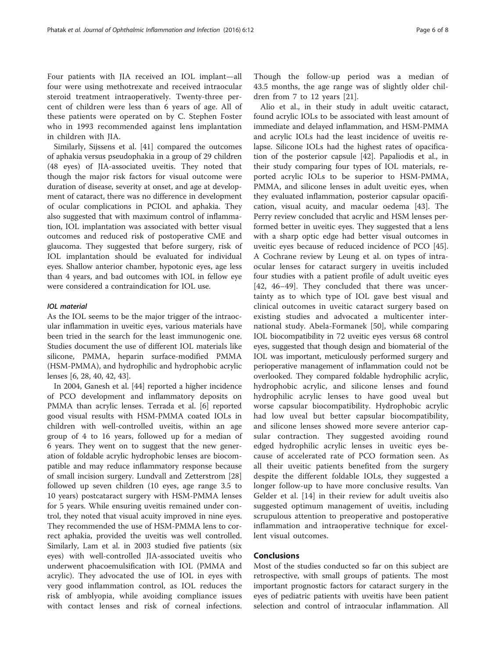Four patients with JIA received an IOL implant—all four were using methotrexate and received intraocular steroid treatment intraoperatively. Twenty-three percent of children were less than 6 years of age. All of these patients were operated on by C. Stephen Foster who in 1993 recommended against lens implantation in children with JIA.

Similarly, Sijssens et al. [\[41](#page-7-0)] compared the outcomes of aphakia versus pseudophakia in a group of 29 children (48 eyes) of JIA-associated uveitis. They noted that though the major risk factors for visual outcome were duration of disease, severity at onset, and age at development of cataract, there was no difference in development of ocular complications in PCIOL and aphakia. They also suggested that with maximum control of inflammation, IOL implantation was associated with better visual outcomes and reduced risk of postoperative CME and glaucoma. They suggested that before surgery, risk of IOL implantation should be evaluated for individual eyes. Shallow anterior chamber, hypotonic eyes, age less than 4 years, and bad outcomes with IOL in fellow eye were considered a contraindication for IOL use.

### **IOL** material

As the IOL seems to be the major trigger of the intraocular inflammation in uveitic eyes, various materials have been tried in the search for the least immunogenic one. Studies document the use of different IOL materials like silicone, PMMA, heparin surface-modified PMMA (HSM-PMMA), and hydrophilic and hydrophobic acrylic lenses [\[6](#page-6-0), [28, 40, 42, 43\]](#page-7-0).

In 2004, Ganesh et al. [\[44\]](#page-7-0) reported a higher incidence of PCO development and inflammatory deposits on PMMA than acrylic lenses. Terrada et al. [[6\]](#page-6-0) reported good visual results with HSM-PMMA coated IOLs in children with well-controlled uveitis, within an age group of 4 to 16 years, followed up for a median of 6 years. They went on to suggest that the new generation of foldable acrylic hydrophobic lenses are biocompatible and may reduce inflammatory response because of small incision surgery. Lundvall and Zetterstrom [[28](#page-7-0)] followed up seven children (10 eyes, age range 3.5 to 10 years) postcataract surgery with HSM-PMMA lenses for 5 years. While ensuring uveitis remained under control, they noted that visual acuity improved in nine eyes. They recommended the use of HSM-PMMA lens to correct aphakia, provided the uveitis was well controlled. Similarly, Lam et al. in 2003 studied five patients (six eyes) with well-controlled JIA-associated uveitis who underwent phacoemulsification with IOL (PMMA and acrylic). They advocated the use of IOL in eyes with very good inflammation control, as IOL reduces the risk of amblyopia, while avoiding compliance issues with contact lenses and risk of corneal infections.

Though the follow-up period was a median of 43.5 months, the age range was of slightly older children from 7 to 12 years [\[21](#page-7-0)].

Alio et al., in their study in adult uveitic cataract, found acrylic IOLs to be associated with least amount of immediate and delayed inflammation, and HSM-PMMA and acrylic IOLs had the least incidence of uveitis relapse. Silicone IOLs had the highest rates of opacification of the posterior capsule [[42\]](#page-7-0). Papaliodis et al., in their study comparing four types of IOL materials, reported acrylic IOLs to be superior to HSM-PMMA, PMMA, and silicone lenses in adult uveitic eyes, when they evaluated inflammation, posterior capsular opacification, visual acuity, and macular oedema [\[43\]](#page-7-0). The Perry review concluded that acrylic and HSM lenses performed better in uveitic eyes. They suggested that a lens with a sharp optic edge had better visual outcomes in uveitic eyes because of reduced incidence of PCO [\[45](#page-7-0)]. A Cochrane review by Leung et al. on types of intraocular lenses for cataract surgery in uveitis included four studies with a patient profile of adult uveitic eyes [[42, 46](#page-7-0)–[49](#page-7-0)]. They concluded that there was uncertainty as to which type of IOL gave best visual and clinical outcomes in uveitic cataract surgery based on existing studies and advocated a multicenter international study. Abela-Formanek [\[50](#page-7-0)], while comparing IOL biocompatibility in 72 uveitic eyes versus 68 control eyes, suggested that though design and biomaterial of the IOL was important, meticulously performed surgery and perioperative management of inflammation could not be overlooked. They compared foldable hydrophilic acrylic, hydrophobic acrylic, and silicone lenses and found hydrophilic acrylic lenses to have good uveal but worse capsular biocompatibility. Hydrophobic acrylic had low uveal but better capsular biocompatibility, and silicone lenses showed more severe anterior capsular contraction. They suggested avoiding round edged hydrophilic acrylic lenses in uveitic eyes because of accelerated rate of PCO formation seen. As all their uveitic patients benefited from the surgery despite the different foldable IOLs, they suggested a longer follow-up to have more conclusive results. Van Gelder et al. [[14\]](#page-6-0) in their review for adult uveitis also suggested optimum management of uveitis, including scrupulous attention to preoperative and postoperative inflammation and intraoperative technique for excellent visual outcomes.

# Conclusions

Most of the studies conducted so far on this subject are retrospective, with small groups of patients. The most important prognostic factors for cataract surgery in the eyes of pediatric patients with uveitis have been patient selection and control of intraocular inflammation. All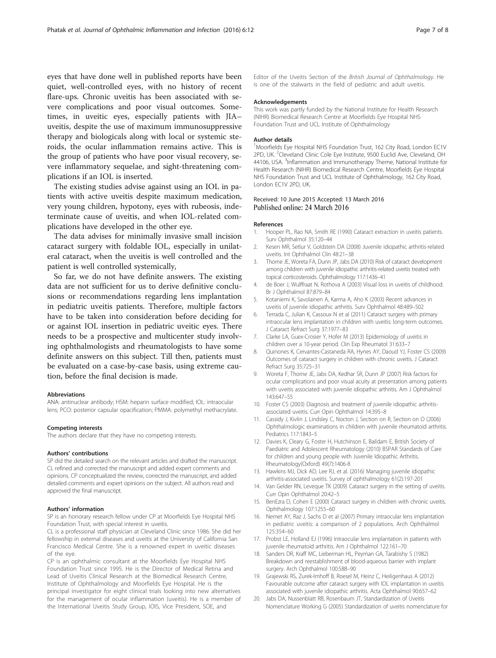<span id="page-6-0"></span>eyes that have done well in published reports have been quiet, well-controlled eyes, with no history of recent flare-ups. Chronic uveitis has been associated with severe complications and poor visual outcomes. Sometimes, in uveitic eyes, especially patients with JIA– uveitis, despite the use of maximum immunosuppressive therapy and biologicals along with local or systemic steroids, the ocular inflammation remains active. This is the group of patients who have poor visual recovery, severe inflammatory sequelae, and sight-threatening complications if an IOL is inserted.

The existing studies advise against using an IOL in patients with active uveitis despite maximum medication, very young children, hypotony, eyes with rubeosis, indeterminate cause of uveitis, and when IOL-related complications have developed in the other eye.

The data advises for minimally invasive small incision cataract surgery with foldable IOL, especially in unilateral cataract, when the uveitis is well controlled and the patient is well controlled systemically,

So far, we do not have definite answers. The existing data are not sufficient for us to derive definitive conclusions or recommendations regarding lens implantation in pediatric uveitis patients. Therefore, multiple factors have to be taken into consideration before deciding for or against IOL insertion in pediatric uveitic eyes. There needs to be a prospective and multicenter study involving ophthalmologists and rheumatologists to have some definite answers on this subject. Till then, patients must be evaluated on a case-by-case basis, using extreme caution, before the final decision is made.

#### Abbreviations

ANA: antinuclear antibody; HSM: heparin surface modified; IOL: intraocular lens; PCO: posterior capsular opacification; PMMA: polymethyl methacrylate.

#### Competing interests

The authors declare that they have no competing interests.

### Authors' contributions

SP did the detailed search on the relevant articles and drafted the manuscript. CL refined and corrected the manuscript and added expert comments and opinions. CP conceptualized the review, corrected the manuscript, and added detailed comments and expert opinions on the subject. All authors read and approved the final manuscript.

#### Authors' information

SP is an honorary research fellow under CP at Moorfields Eye Hospital NHS Foundation Trust, with special interest in uveitis.

CL is a professional staff physician at Cleveland Clinic since 1986. She did her fellowship in external diseases and uveitis at the University of California San Francisco Medical Centre. She is a renowned expert in uveitic diseases of the eye.

CP is an ophthalmic consultant at the Moorfields Eye Hospital NHS Foundation Trust since 1995. He is the Director of Medical Retina and Lead of Uveitis Clinical Research at the Biomedical Research Centre, Institute of Ophthalmology and Moorfields Eye Hospital. He is the principal investigator for eight clinical trials looking into new alternatives for the management of ocular inflammation (uveitis). He is a member of the International Uveitis Study Group, IOIS, Vice President, SOE, and

Editor of the Uveitis Section of the British Journal of Ophthalmology. He is one of the stalwarts in the field of pediatric and adult uveitis.

#### Acknowledgements

This work was partly funded by the National Institute for Health Research (NIHR) Biomedical Research Centre at Moorfields Eye Hospital NHS Foundation Trust and UCL Institute of Ophthalmology

#### Author details

<sup>1</sup>Moorfields Eye Hospital NHS Foundation Trust, 162 City Road, London EC1V 2PD, UK. <sup>2</sup>Cleveland Clinic Cole Eye Institute, 9500 Euclid Ave, Cleveland, OH 44106, USA. <sup>3</sup>Inflammation and Immunotherapy Theme, National Institute for Health Research (NIHR) Biomedical Research Centre, Moorfields Eye Hospital NHS Foundation Trust and UCL Institute of Ophthalmology, 162 City Road, London EC1V 2PD, UK.

### Received: 10 June 2015 Accepted: 13 March 2016 Published online: 24 March 2016

#### References

- 1. Hooper PL, Rao NA, Smith RE (1990) Cataract extraction in uveitis patients. Surv Ophthalmol 35:120–44
- 2. Kesen MR, Setlur V, Goldstein DA (2008) Juvenile idiopathic arthritis-related uveitis. Int Ophthalmol Clin 48:21–38
- 3. Thorne JE, Woreta FA, Dunn JP, Jabs DA (2010) Risk of cataract development among children with juvenile idiopathic arthritis-related uveitis treated with topical corticosteroids. Ophthalmology 117:1436–41
- 4. de Boer J, Wulffraat N, Rothova A (2003) Visual loss in uveitis of childhood. Br J Ophthalmol 87:879–84
- 5. Kotaniemi K, Savolainen A, Karma A, Aho K (2003) Recent advances in uveitis of juvenile idiopathic arthritis. Surv Ophthalmol 48:489–502
- 6. Terrada C, Julian K, Cassoux N et al (2011) Cataract surgery with primary intraocular lens implantation in children with uveitis: long-term outcomes. J Cataract Refract Surg 37:1977–83
- 7. Clarke LA, Guex-Crosier Y, Hofer M (2013) Epidemiology of uveitis in children over a 10-year period. Clin Exp Rheumatol 31:633–7
- 8. Quinones K, Cervantes-Castaneda RA, Hynes AY, Daoud YJ, Foster CS (2009) Outcomes of cataract surgery in children with chronic uveitis. J Cataract Refract Surg 35:725–31
- 9. Woreta F, Thorne JE, Jabs DA, Kedhar SR, Dunn JP (2007) Risk factors for ocular complications and poor visual acuity at presentation among patients with uveitis associated with juvenile idiopathic arthritis. Am J Ophthalmol 143:647–55
- 10. Foster CS (2003) Diagnosis and treatment of juvenile idiopathic arthritisassociated uveitis. Curr Opin Ophthalmol 14:395–8
- 11. Cassidy J, Kivlin J, Lindsley C, Nocton J, Section on R, Section on O (2006) Ophthalmologic examinations in children with juvenile rheumatoid arthritis. Pediatrics 117:1843–5
- 12. Davies K, Cleary G, Foster H, Hutchinson E, Baildam E, British Society of Paediatric and Adolescent Rheumatology (2010) BSPAR Standards of Care for children and young people with Juvenile Idiopathic Arthritis. Rheumatology(Oxford) 49(7):1406-8
- 13. Hawkins MJ, Dick AD, Lee RJ, et al. (2016) Managing juvenile idiopathic arthritis-associated uveitis. Survey of ophthalmology 61(2):197-201
- 14. Van Gelder RN, Leveque TK (2009) Cataract surgery in the setting of uveitis. Curr Opin Ophthalmol 20:42–5
- 15. BenEzra D, Cohen E (2000) Cataract surgery in children with chronic uveitis. Ophthalmology 107:1255–60
- 16. Nemet AY, Raz J, Sachs D et al (2007) Primary intraocular lens implantation in pediatric uveitis: a comparison of 2 populations. Arch Ophthalmol 125:354–60
- 17. Probst LE, Holland EJ (1996) Intraocular lens implantation in patients with juvenile rheumatoid arthritis. Am J Ophthalmol 122:161–70
- 18. Sanders DR, Kraff MC, Lieberman HL, Peyman GA, Tarabishy S (1982) Breakdown and reestablishment of blood-aqueous barrier with implant surgery. Arch Ophthalmol 100:588–90
- 19. Grajewski RS, Zurek-Imhoff B, Roesel M, Heinz C, Heiligenhaus A (2012) Favourable outcome after cataract surgery with IOL implantation in uveitis associated with juvenile idiopathic arthritis. Acta Ophthalmol 90:657–62
- 20. Jabs DA, Nussenblatt RB, Rosenbaum JT, Standardization of Uveitis Nomenclature Working G (2005) Standardization of uveitis nomenclature for